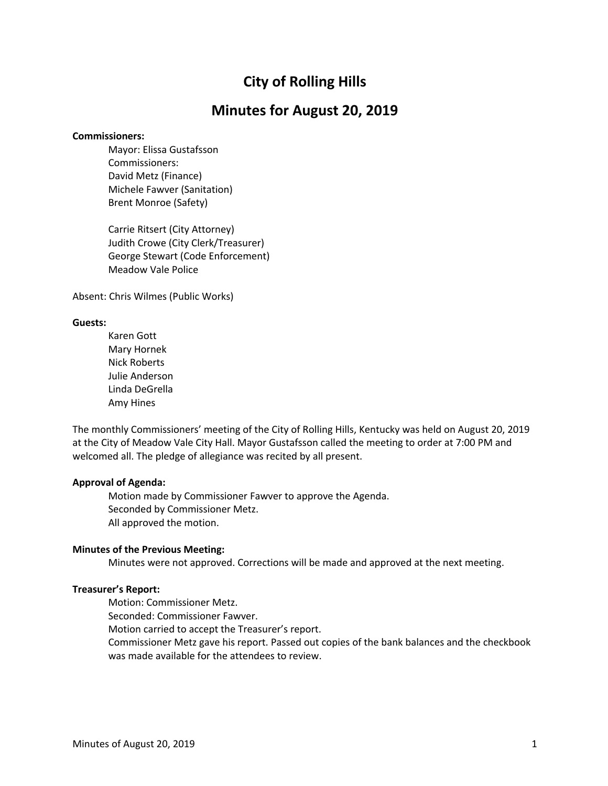# **City of Rolling Hills**

## **Minutes for August 20, 2019**

#### **Commissioners:**

Mayor: Elissa Gustafsson Commissioners: David Metz (Finance) Michele Fawver (Sanitation) Brent Monroe (Safety)

Carrie Ritsert (City Attorney) Judith Crowe (City Clerk/Treasurer) George Stewart (Code Enforcement) Meadow Vale Police

Absent: Chris Wilmes (Public Works)

#### **Guests:**

Karen Gott Mary Hornek Nick Roberts Julie Anderson Linda DeGrella Amy Hines

The monthly Commissioners' meeting of the City of Rolling Hills, Kentucky was held on August 20, 2019 at the City of Meadow Vale City Hall. Mayor Gustafsson called the meeting to order at 7:00 PM and welcomed all. The pledge of allegiance was recited by all present.

### **Approval of Agenda:**

Motion made by Commissioner Fawver to approve the Agenda. Seconded by Commissioner Metz. All approved the motion.

### **Minutes of the Previous Meeting:**

Minutes were not approved. Corrections will be made and approved at the next meeting.

### **Treasurer's Report:**

Motion: Commissioner Metz.

Seconded: Commissioner Fawver.

Motion carried to accept the Treasurer's report.

Commissioner Metz gave his report. Passed out copies of the bank balances and the checkbook was made available for the attendees to review.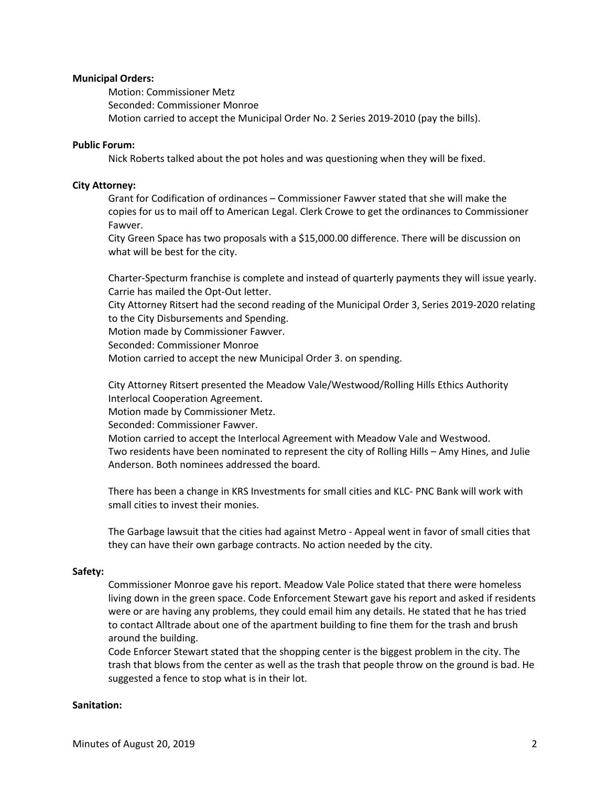### **Municipal Orders:**

Motion: Commissioner Metz Seconded: Commissioner Monroe Motion carried to accept the Municipal Order No. 2 Series 2019-2010 (pay the bills).

#### **Public Forum:**

Nick Roberts talked about the pot holes and was questioning when they will be fixed.

#### **City Attorney:**

Grant for Codification of ordinances – Commissioner Fawver stated that she will make the copies for us to mail off to American Legal. Clerk Crowe to get the ordinances to Commissioner Fawver.

City Green Space has two proposals with a \$15,000.00 difference. There will be discussion on what will be best for the city.

Charter-Specturm franchise is complete and instead of quarterly payments they will issue yearly. Carrie has mailed the Opt-Out letter.

City Attorney Ritsert had the second reading of the Municipal Order 3, Series 2019-2020 relating to the City Disbursements and Spending.

Motion made by Commissioner Fawver.

Seconded: Commissioner Monroe

Motion carried to accept the new Municipal Order 3. on spending.

City Attorney Ritsert presented the Meadow Vale/Westwood/Rolling Hills Ethics Authority Interlocal Cooperation Agreement.

Motion made by Commissioner Metz.

Seconded: Commissioner Fawver.

Motion carried to accept the Interlocal Agreement with Meadow Vale and Westwood. Two residents have been nominated to represent the city of Rolling Hills – Amy Hines, and Julie Anderson. Both nominees addressed the board.

There has been a change in KRS Investments for small cities and KLC- PNC Bank will work with small cities to invest their monies.

The Garbage lawsuit that the cities had against Metro - Appeal went in favor of small cities that they can have their own garbage contracts. No action needed by the city.

#### **Safety:**

Commissioner Monroe gave his report. Meadow Vale Police stated that there were homeless living down in the green space. Code Enforcement Stewart gave his report and asked if residents were or are having any problems, they could email him any details. He stated that he has tried to contact Alltrade about one of the apartment building to fine them for the trash and brush around the building.

Code Enforcer Stewart stated that the shopping center is the biggest problem in the city. The trash that blows from the center as well as the trash that people throw on the ground is bad. He suggested a fence to stop what is in their lot.

#### **Sanitation:**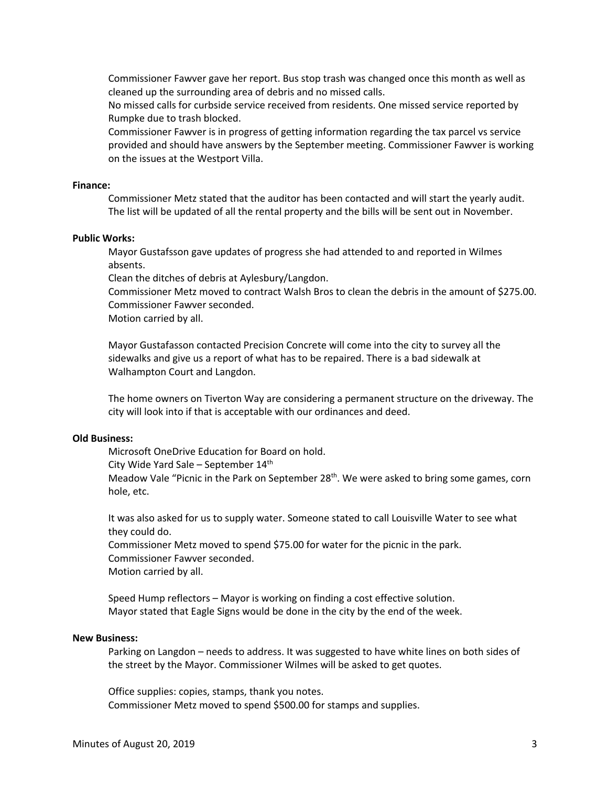Commissioner Fawver gave her report. Bus stop trash was changed once this month as well as cleaned up the surrounding area of debris and no missed calls.

No missed calls for curbside service received from residents. One missed service reported by Rumpke due to trash blocked.

Commissioner Fawver is in progress of getting information regarding the tax parcel vs service provided and should have answers by the September meeting. Commissioner Fawver is working on the issues at the Westport Villa.

#### **Finance:**

Commissioner Metz stated that the auditor has been contacted and will start the yearly audit. The list will be updated of all the rental property and the bills will be sent out in November.

#### **Public Works:**

Mayor Gustafsson gave updates of progress she had attended to and reported in Wilmes absents.

Clean the ditches of debris at Aylesbury/Langdon.

Commissioner Metz moved to contract Walsh Bros to clean the debris in the amount of \$275.00. Commissioner Fawver seconded.

Motion carried by all.

Mayor Gustafasson contacted Precision Concrete will come into the city to survey all the sidewalks and give us a report of what has to be repaired. There is a bad sidewalk at Walhampton Court and Langdon.

The home owners on Tiverton Way are considering a permanent structure on the driveway. The city will look into if that is acceptable with our ordinances and deed.

#### **Old Business:**

Microsoft OneDrive Education for Board on hold.

City Wide Yard Sale – September 14th

Meadow Vale "Picnic in the Park on September  $28<sup>th</sup>$ . We were asked to bring some games, corn hole, etc.

It was also asked for us to supply water. Someone stated to call Louisville Water to see what they could do.

Commissioner Metz moved to spend \$75.00 for water for the picnic in the park. Commissioner Fawver seconded.

Motion carried by all.

Speed Hump reflectors – Mayor is working on finding a cost effective solution. Mayor stated that Eagle Signs would be done in the city by the end of the week.

### **New Business:**

Parking on Langdon – needs to address. It was suggested to have white lines on both sides of the street by the Mayor. Commissioner Wilmes will be asked to get quotes.

Office supplies: copies, stamps, thank you notes. Commissioner Metz moved to spend \$500.00 for stamps and supplies.